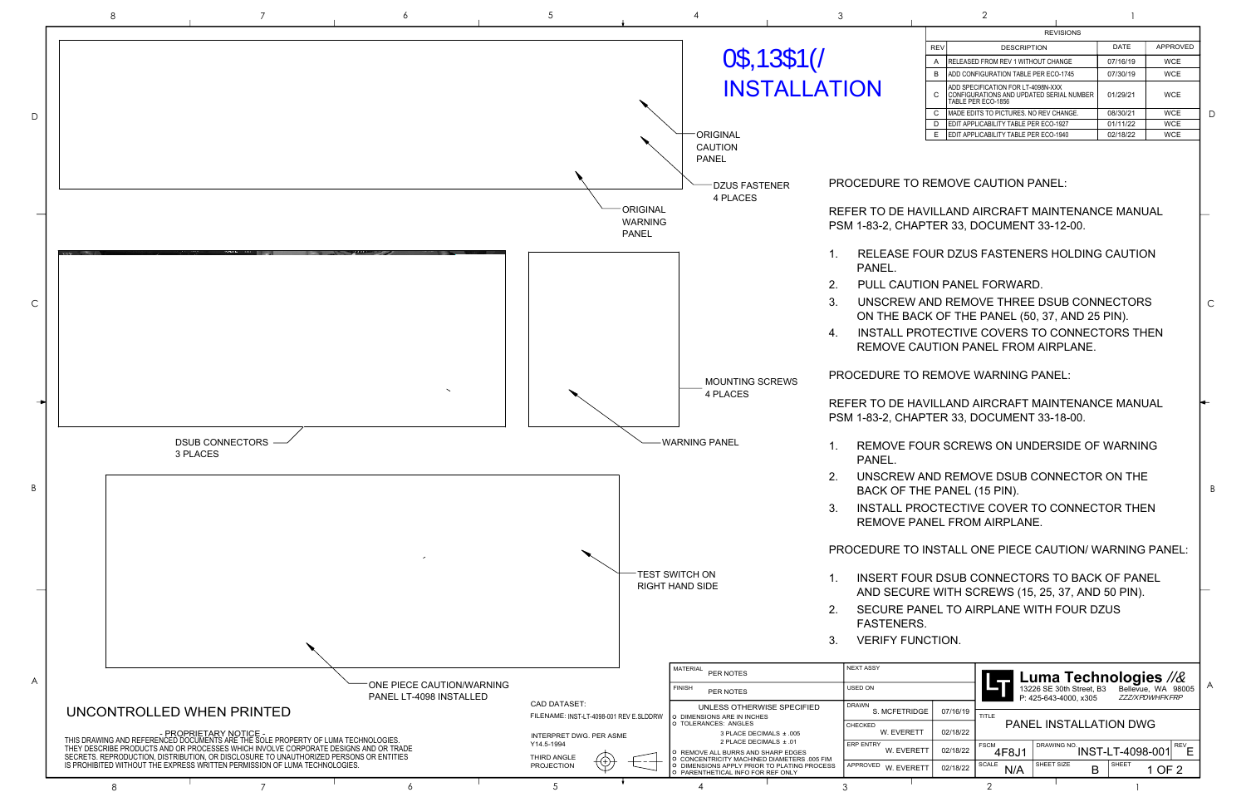## PROCEDURE TO REMOVE CAUTION PANEL:

REFER TO DE HAVILLAND AIRCRAFT MAINTENANCE MANUAL PSM 1-83-2, CHAPTER 33, DOCUMENT 33-12-00.

- 1. RELEASE FOUR DZUS FASTENERS HOLDING CAUTION
- 2. PULL CAUTION PANEL FORWARD.

3. UNSCREW AND REMOVE THREE DSUB CONNECTORS ON THE BACK OF THE PANEL (50, 37, AND 25 PIN). 4. INSTALL PROTECTIVE COVERS TO CONNECTORS THEN REMOVE CAUTION PANEL FROM AIRPLANE.

PROCEDURE TO REMOVE WARNING PANEL:

REFER TO DE HAVILLAND AIRCRAFT MAINTENANCE MANUAL PSM 1-83-2, CHAPTER 33, DOCUMENT 33-18-00.

- 1. REMOVE FOUR SCREWS ON UNDERSIDE OF WARNING
- 2. UNSCREW AND REMOVE DSUB CONNECTOR ON THE BACK OF THE PANEL (15 PIN).
- 3. INSTALL PROCTECTIVE COVER TO CONNECTOR THEN REMOVE PANEL FROM AIRPLANE.
- PROCEDURE TO INSTALL ONE PIECE CAUTION/ WARNING PANEL:
- 1. INSERT FOUR DSUB CONNECTORS TO BACK OF PANEL AND SECURE WITH SCREWS (15, 25, 37, AND 50 PIN). 2. SECURE PANEL TO AIRPLANE WITH FOUR DZUS
	-

|                         |                      | <b>Luma Technologies</b><br>13226 SE 30th Street, B3 Bellevue, WA 98005<br>P: 425-643-4000. x305 |              |        |            |  |  |
|-------------------------|----------------------|--------------------------------------------------------------------------------------------------|--------------|--------|------------|--|--|
| 07/16/19<br>DGE         | TITLE                |                                                                                                  |              |        |            |  |  |
| :TT<br>02/18/22         |                      | PANEL INSTALLATION DWG                                                                           |              |        |            |  |  |
| 02/18/22<br><b>RETT</b> | <b>FSCM</b><br>4F8J1 | DRAWING NO. <b>INST-LT-4098-001</b>                                                              |              |        | <b>REV</b> |  |  |
| 02/18/22<br><b>RETT</b> | <b>SCALE</b><br>N/A  | SHEET SIZE                                                                                       | <b>SHEET</b> | 1 OF 2 |            |  |  |
|                         |                      |                                                                                                  |              |        |            |  |  |



| ٧      |  |
|--------|--|
| ł<br>٠ |  |

| $\sim$<br>~ |
|-------------|
|             |

D

C

B

|            | <b>REVISIONS</b>                                                                                     |          |            |  |  |  |  |  |
|------------|------------------------------------------------------------------------------------------------------|----------|------------|--|--|--|--|--|
| <b>REV</b> | <b>DESCRIPTION</b>                                                                                   | DATE     | APPROVED   |  |  |  |  |  |
| A          | <b>RELEASED FROM REV 1 WITHOUT CHANGE</b>                                                            | 07/16/19 | <b>WCE</b> |  |  |  |  |  |
| B          | ADD CONFIGURATION TABLE PER ECO-1745                                                                 | 07/30/19 | <b>WCE</b> |  |  |  |  |  |
| C          | ADD SPECIFICATION FOR LT-4098N-XXX<br>CONFIGURATIONS AND UPDATED SERIAL NUMBER<br>TABLE PER ECO-1856 | 01/29/21 | <b>WCE</b> |  |  |  |  |  |
| C          | IMADE EDITS TO PICTURES. NO REV CHANGE.                                                              | 08/30/21 | <b>WCE</b> |  |  |  |  |  |
| D          | EDIT APPLICABILITY TABLE PER ECO-1927                                                                | 01/11/22 | <b>WCE</b> |  |  |  |  |  |
| E          | EDIT APPLICABILITY TABLE PER ECO-1940                                                                | 02/18/22 | <b>WCE</b> |  |  |  |  |  |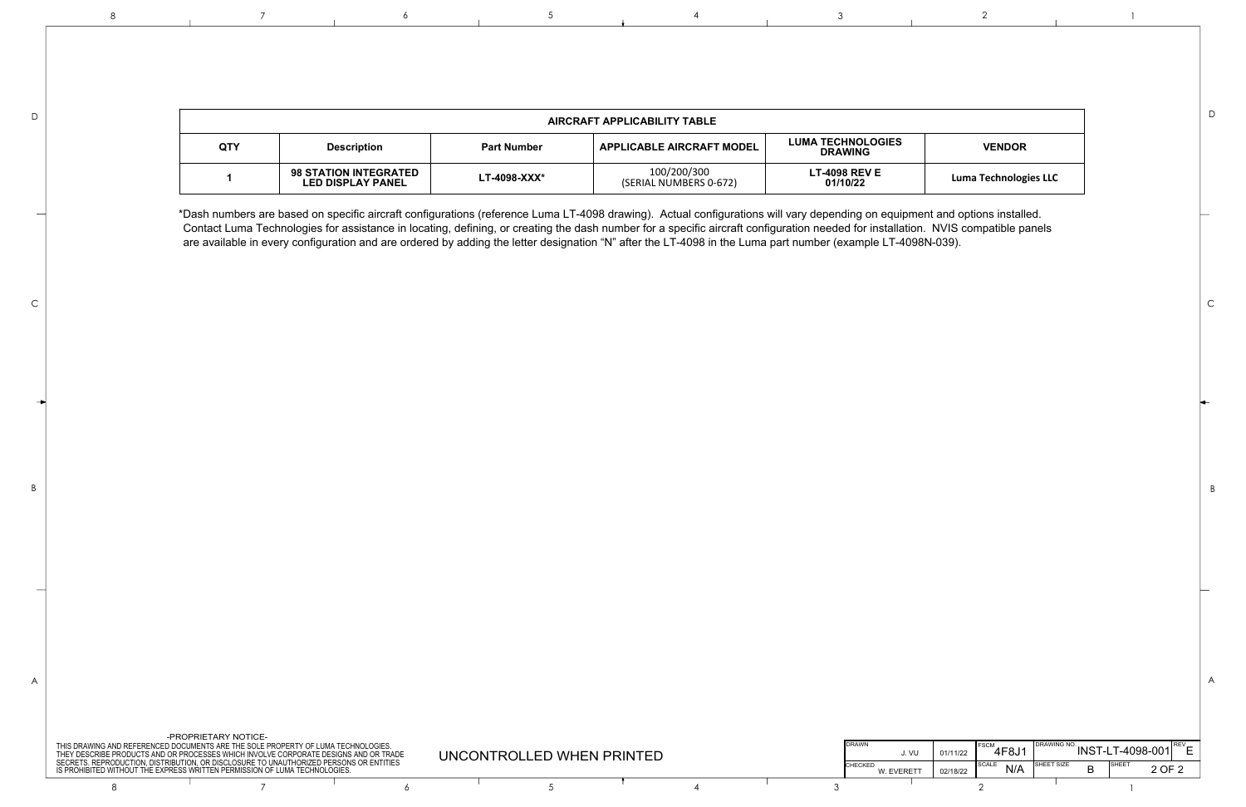\*Dash numbers are based on specific aircraft configurations (reference Luma LT-4098 drawing). Actual configurations will vary depending on equipment and options installed. Contact Luma Technologies for assistance in locating, defining, or creating the dash number for a specific aircraft configuration needed for installation. NVIS compatible panels are available in every configuration and are ordered by adding the letter designation "N" after the LT-4098 in the Luma part number (example LT-4098N-039).

| -PROPRIETARY NOTICE-<br>ND REFERENCED DOCUMENTS ARE THE SOLE PROPERTY OF LUMA TECHNOLOGIES.<br>PRODUCTS AND OR PROCESSES WHICH INVOLVE CORPORATE DESIGNS AND OR TRADE<br>UNCONTROLLED WHEN PRINTED<br>ODUCTION. DISTRIBUTION. OR DISCLOSURE TO UNAUTHORIZED PERSONS OR ENTITIES |                                                              |  |  |  |  | <b>DRAWN</b><br>J. Vl |           | 4F8J1    |     | <b>INST-I</b> | LT-4098-001       |          |
|---------------------------------------------------------------------------------------------------------------------------------------------------------------------------------------------------------------------------------------------------------------------------------|--------------------------------------------------------------|--|--|--|--|-----------------------|-----------|----------|-----|---------------|-------------------|----------|
|                                                                                                                                                                                                                                                                                 | /ITHOUT THE EXPRESS WRITTEN PERMISSION OF LUMA TECHNOLOGIES. |  |  |  |  |                       | W. EVERET | 02/18/22 | N/A | SHEET SIZL    | <b>ISHEE</b><br>D | $\Omega$ |
|                                                                                                                                                                                                                                                                                 |                                                              |  |  |  |  |                       |           |          |     |               |                   |          |

| AIRCRAFT APPLICABILITY TABLE |                                                          |                    |                                       |                                            |                              |  |  |
|------------------------------|----------------------------------------------------------|--------------------|---------------------------------------|--------------------------------------------|------------------------------|--|--|
| <b>QTY</b>                   | <b>Description</b>                                       | <b>Part Number</b> | <b>APPLICABLE AIRCRAFT MODEL</b>      | <b>LUMA TECHNOLOGIES</b><br><b>DRAWING</b> | <b>VENDOR</b>                |  |  |
|                              | <b>98 STATION INTEGRATED</b><br><b>LED DISPLAY PANEL</b> | $LT-4098-XXX*$     | 100/200/300<br>(SERIAL NUMBERS 0-672) | <b>LT-4098 REV E</b><br>01/10/22           | <b>Luma Technologies LLC</b> |  |  |

D

C

B

B

C

D

8 8 7 7 6 5 7 5 4 3 2 2 1



A  $\parallel$ 



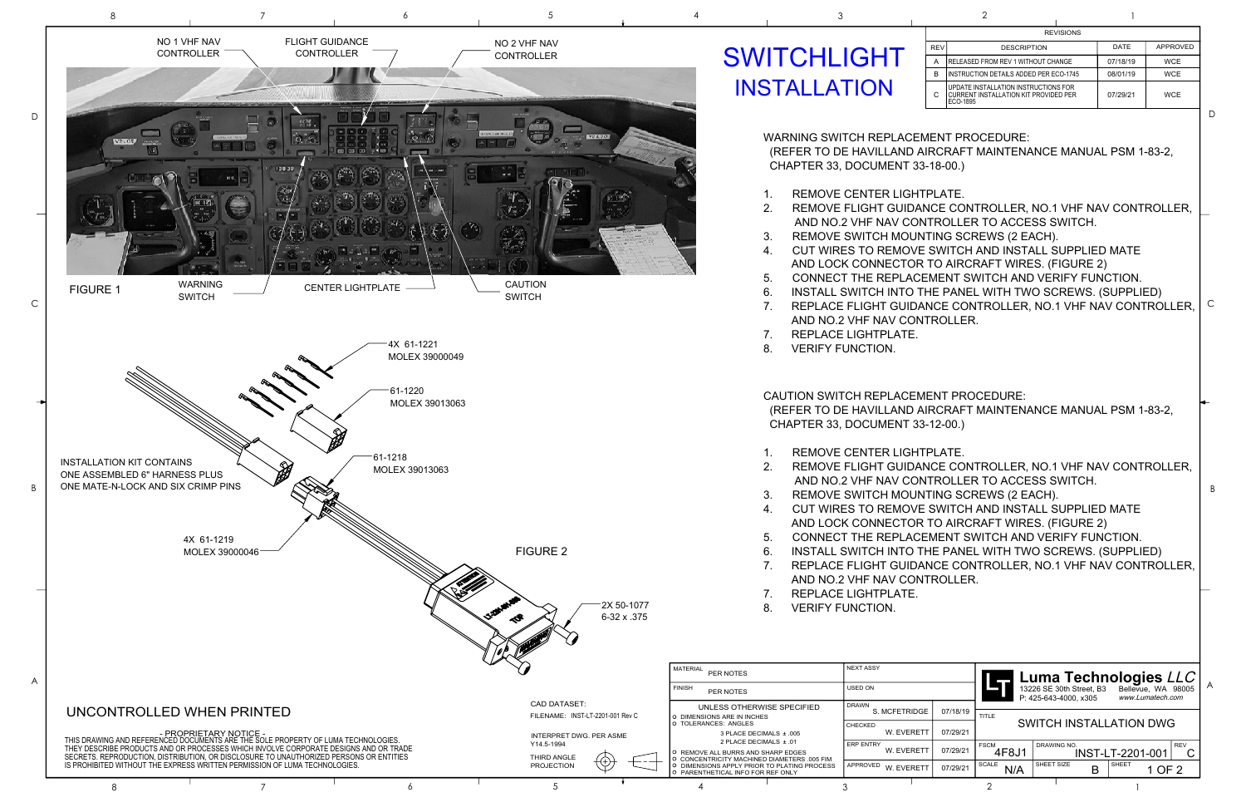2. REMOVE FLIGHT GUIDANCE CONTROLLER, NO.1 VHF NAV CONTROLLER, AND NO.2 VHF NAV CONTROLLER TO ACCESS SWITCH. 3. REMOVE SWITCH MOUNTING SCREWS (2 EACH). 4. CUT WIRES TO REMOVE SWITCH AND INSTALL SUPPLIED MATE AND LOCK CONNECTOR TO AIRCRAFT WIRES. (FIGURE 2) 5. CONNECT THE REPLACEMENT SWITCH AND VERIFY FUNCTION. 6. INSTALL SWITCH INTO THE PANEL WITH TWO SCREWS. (SUPPLIED) 7.  $\,$  REPLACE FLIGHT GUIDANCE CONTROLLER, NO.1 VHF NAV CONTROLLER,  $\mid$   $^\circ$ 

WARNING SWITCH REPLACEMENT PROCEDURE: (REFER TO DE HAVILLAND AIRCRAFT MAINTENANCE MANUAL PSM 1-83-2, CHAPTER 33, DOCUMENT 33-18-00.)

- 1. REMOVE CENTER LIGHTPLATE.
- 
- 
- 
- 
- 
- AND NO.2 VHF NAV CONTROLLER.
- 7. REPLACE LIGHTPLATE.
- 8. VERIFY FUNCTION.

CAUTION SWITCH REPLACEMENT PROCEDURE: (REFER TO DE HAVILLAND AIRCRAFT MAINTENANCE MANUAL PSM 1-83-2, CHAPTER 33, DOCUMENT 33-12-00.)

|            |          |                      | Luma Technologies LLC<br>13226 SE 30th Street, B3<br>P: 425-643-4000. x305 |                  | Bellevue, WA 98005<br>www.Lumatech.com |            | A |
|------------|----------|----------------------|----------------------------------------------------------------------------|------------------|----------------------------------------|------------|---|
| )GE        | 07/18/19 | <b>TITLE</b>         |                                                                            |                  |                                        |            |   |
| <b>ETT</b> | 07/29/21 |                      | SWITCH INSTALLATION DWG                                                    |                  |                                        |            |   |
| <b>ETT</b> | 07/29/21 | <b>FSCM</b><br>4F8J1 | DRAWING NO.                                                                | INST-LT-2201-001 |                                        | <b>REV</b> |   |
| <b>ETT</b> | 07/29/21 | <b>SCALE</b>         | SHEET SIZE                                                                 | <b>SHEET</b>     | 1 OF 2                                 |            |   |
|            |          |                      |                                                                            |                  |                                        |            |   |

|                           |                                                                                                                                                                                | $\mathbb{Z}$                                            |                                                                                                                  |                                 |          |                      |                                                          |             |
|---------------------------|--------------------------------------------------------------------------------------------------------------------------------------------------------------------------------|---------------------------------------------------------|------------------------------------------------------------------------------------------------------------------|---------------------------------|----------|----------------------|----------------------------------------------------------|-------------|
|                           |                                                                                                                                                                                |                                                         | MATERIAL PER NOTES                                                                                               | NEXT ASSY                       |          |                      | Luma Technolog                                           |             |
|                           |                                                                                                                                                                                |                                                         | <b>FINISH</b><br>PER NOTES                                                                                       | USED ON                         |          |                      | 13226 SE 30th Street, B3 Belley<br>P: 425-643-4000, x305 | www.L       |
| UNCONTROLLED WHEN PRINTED |                                                                                                                                                                                | <b>CAD DATASET:</b><br>FILENAME: INST-LT-2201-001 Rev C | UNLESS OTHERWISE SPECIFIED<br><b>PIMENSIONS ARE IN INCHES</b>                                                    | <b>DRAWN</b><br>S. MCFETRIDGE   | 07/18/19 | <b>TITLE</b>         |                                                          |             |
|                           | - PROPRIETARY NOTICE -<br>THIS DRAWING AND REFERENCED DOCUMENTS ARE THE SOLE PROPERTY OF LUMA TECHNOLOGIES.                                                                    | INTERPRET DWG. PER ASME                                 | TOLERANCES: ANGLES<br>3 PLACE DECIMALS ± .005                                                                    | <b>CHECKED</b><br>W. EVERETT    | 07/29/21 |                      | <b>SWITCH INSTALLATION</b>                               |             |
|                           | THEY DESCRIBE PRODUCTS AND OR PROCESSES WHICH INVOLVE CORPORATE DESIGNS AND OR TRADE<br>SECRETS, REPRODUCTION, DISTRIBUTION, OR DISCLOSURE TO UNAUTHORIZED PERSONS OR ENTITIES | Y14.5-1994<br>THIRD ANGLE                               | 2 PLACE DECIMALS ± .01<br><b>P REMOVE ALL BURRS AND SHARP EDGES</b><br>CONCENTRICITY MACHINED DIAMETERS .005 FIM | <b>LERP ENTRY</b><br>W. EVERETT | 07/29/21 | <b>FSCM</b><br>4F8J1 | <b>DRAWING NO.</b>                                       | INST-LT-220 |
|                           | IS PROHIBITED WITHOUT THE EXPRESS WRITTEN PERMISSION OF LUMA TECHNOLOGIES.                                                                                                     | €<br>---<br>PROJECTION                                  | DIMENSIONS APPLY PRIOR TO PLATING PROCESS<br>PARENTHETICAL INFO FOR REF ONLY                                     | I APPROVED W. EVERETT           | 07/29/21 | SCALE<br>N/A         | SHEET SIZE                                               | SHEET       |
|                           |                                                                                                                                                                                |                                                         |                                                                                                                  |                                 |          |                      |                                                          |             |
|                           |                                                                                                                                                                                |                                                         |                                                                                                                  |                                 |          |                      |                                                          |             |

| ٧      |  |
|--------|--|
|        |  |
| ł<br>٠ |  |
|        |  |

## **SWITCHLIGHT** INSTALLATION



2. REMOVE FLIGHT GUIDANCE CONTROLLER, NO.1 VHF NAV CONTROLLER, AND NO.2 VHF NAV CONTROLLER TO ACCESS SWITCH. 3. REMOVE SWITCH MOUNTING SCREWS (2 EACH). 4. CUT WIRES TO REMOVE SWITCH AND INSTALL SUPPLIED MATE AND LOCK CONNECTOR TO AIRCRAFT WIRES. (FIGURE 2) 5. CONNECT THE REPLACEMENT SWITCH AND VERIFY FUNCTION. 6. INSTALL SWITCH INTO THE PANEL WITH TWO SCREWS. (SUPPLIED) 7. REPLACE FLIGHT GUIDANCE CONTROLLER, NO.1 VHF NAV CONTROLLER,

- 1. REMOVE CENTER LIGHTPLATE.
- 
- 
- 
- 
- 
- 
- AND NO.2 VHF NAV CONTROLLER.
- 7. REPLACE LIGHTPLATE.
- 8. VERIFY FUNCTION.

D

B

| <b>REVISIONS</b> |                                                                                           |          |            |  |  |
|------------------|-------------------------------------------------------------------------------------------|----------|------------|--|--|
| <b>RFV</b>       | <b>DESCRIPTION</b>                                                                        | DATE     | APPROVED   |  |  |
| А                | <b>RELEASED FROM REV 1 WITHOUT CHANGE</b>                                                 | 07/18/19 | <b>WCE</b> |  |  |
| в                | IINSTRUCTION DETAILS ADDED PER ECO-1745                                                   | 08/01/19 | <b>WCE</b> |  |  |
| С                | UPDATE INSTALLATION INSTRUCTIONS FOR<br>CURRENT INSTALLATION KIT PROVIDED PER<br>FCO-1895 | 07/29/21 | <b>WCE</b> |  |  |